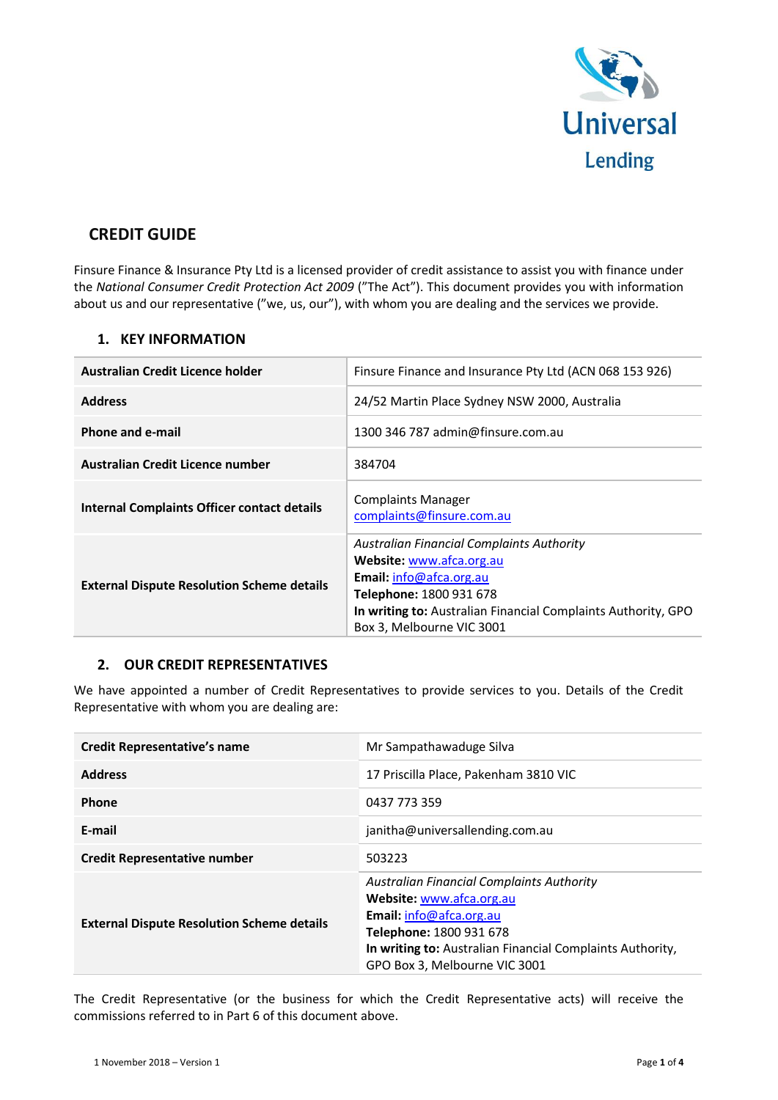

# **CREDIT GUIDE**

Finsure Finance & Insurance Pty Ltd is a licensed provider of credit assistance to assist you with finance under the *National Consumer Credit Protection Act 2009* ("The Act"). This document provides you with information about us and our representative ("we, us, our"), with whom you are dealing and the services we provide.

## **1. KEY INFORMATION**

| <b>Australian Credit Licence holder</b>            | Finsure Finance and Insurance Pty Ltd (ACN 068 153 926)                                                                                                                                                                                   |
|----------------------------------------------------|-------------------------------------------------------------------------------------------------------------------------------------------------------------------------------------------------------------------------------------------|
| <b>Address</b>                                     | 24/52 Martin Place Sydney NSW 2000, Australia                                                                                                                                                                                             |
| Phone and e-mail                                   | 1300 346 787 admin@finsure.com.au                                                                                                                                                                                                         |
| Australian Credit Licence number                   | 384704                                                                                                                                                                                                                                    |
| <b>Internal Complaints Officer contact details</b> | <b>Complaints Manager</b><br>complaints@finsure.com.au                                                                                                                                                                                    |
| <b>External Dispute Resolution Scheme details</b>  | <b>Australian Financial Complaints Authority</b><br>Website: www.afca.org.au<br><b>Email:</b> $info@afca.org.au$<br>Telephone: 1800 931 678<br>In writing to: Australian Financial Complaints Authority, GPO<br>Box 3, Melbourne VIC 3001 |

## **2. OUR CREDIT REPRESENTATIVES**

We have appointed a number of Credit Representatives to provide services to you. Details of the Credit Representative with whom you are dealing are:

| <b>Credit Representative's name</b>               | Mr Sampathawaduge Silva                                                                                                                                                                                                          |
|---------------------------------------------------|----------------------------------------------------------------------------------------------------------------------------------------------------------------------------------------------------------------------------------|
| <b>Address</b>                                    | 17 Priscilla Place, Pakenham 3810 VIC                                                                                                                                                                                            |
| Phone                                             | 0437 773 359                                                                                                                                                                                                                     |
| E-mail                                            | janitha@universallending.com.au                                                                                                                                                                                                  |
| <b>Credit Representative number</b>               | 503223                                                                                                                                                                                                                           |
| <b>External Dispute Resolution Scheme details</b> | <b>Australian Financial Complaints Authority</b><br>Website: www.afca.org.au<br>Email: info@afca.org.au<br>Telephone: 1800 931 678<br>In writing to: Australian Financial Complaints Authority,<br>GPO Box 3, Melbourne VIC 3001 |

The Credit Representative (or the business for which the Credit Representative acts) will receive the commissions referred to in Part 6 of this document above.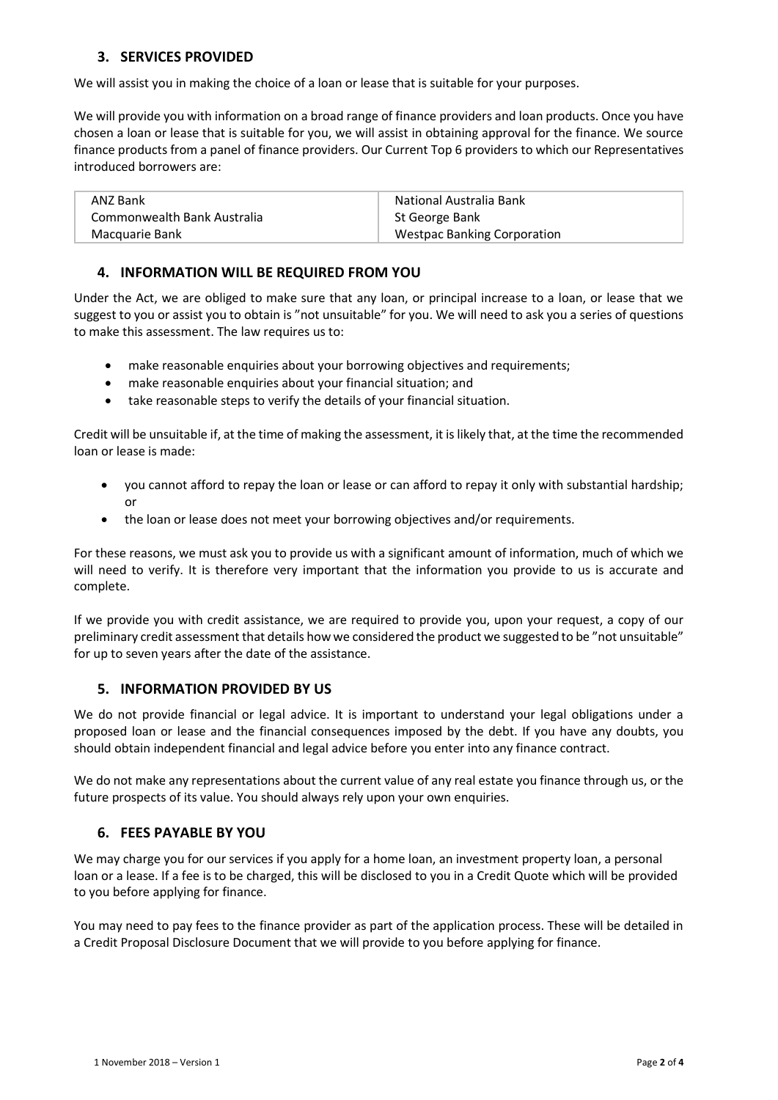## **3. SERVICES PROVIDED**

We will assist you in making the choice of a loan or lease that is suitable for your purposes.

We will provide you with information on a broad range of finance providers and loan products. Once you have chosen a loan or lease that is suitable for you, we will assist in obtaining approval for the finance. We source finance products from a panel of finance providers. Our Current Top 6 providers to which our Representatives introduced borrowers are:

| ANZ Bank                    | National Australia Bank            |
|-----------------------------|------------------------------------|
| Commonwealth Bank Australia | St George Bank                     |
| Macquarie Bank              | <b>Westpac Banking Corporation</b> |

#### **4. INFORMATION WILL BE REQUIRED FROM YOU**

Under the Act, we are obliged to make sure that any loan, or principal increase to a loan, or lease that we suggest to you or assist you to obtain is "not unsuitable" for you. We will need to ask you a series of questions to make this assessment. The law requires us to:

- make reasonable enquiries about your borrowing objectives and requirements;
- make reasonable enquiries about your financial situation; and
- take reasonable steps to verify the details of your financial situation.

Credit will be unsuitable if, at the time of making the assessment, it is likely that, at the time the recommended loan or lease is made:

- you cannot afford to repay the loan or lease or can afford to repay it only with substantial hardship; or
- the loan or lease does not meet your borrowing objectives and/or requirements.

For these reasons, we must ask you to provide us with a significant amount of information, much of which we will need to verify. It is therefore very important that the information you provide to us is accurate and complete.

If we provide you with credit assistance, we are required to provide you, upon your request, a copy of our preliminary credit assessment that details how we considered the product we suggested to be "not unsuitable" for up to seven years after the date of the assistance.

#### **5. INFORMATION PROVIDED BY US**

We do not provide financial or legal advice. It is important to understand your legal obligations under a proposed loan or lease and the financial consequences imposed by the debt. If you have any doubts, you should obtain independent financial and legal advice before you enter into any finance contract.

We do not make any representations about the current value of any real estate you finance through us, or the future prospects of its value. You should always rely upon your own enquiries.

## **6. FEES PAYABLE BY YOU**

We may charge you for our services if you apply for a home loan, an investment property loan, a personal loan or a lease. If a fee is to be charged, this will be disclosed to you in a Credit Quote which will be provided to you before applying for finance.

You may need to pay fees to the finance provider as part of the application process. These will be detailed in a Credit Proposal Disclosure Document that we will provide to you before applying for finance.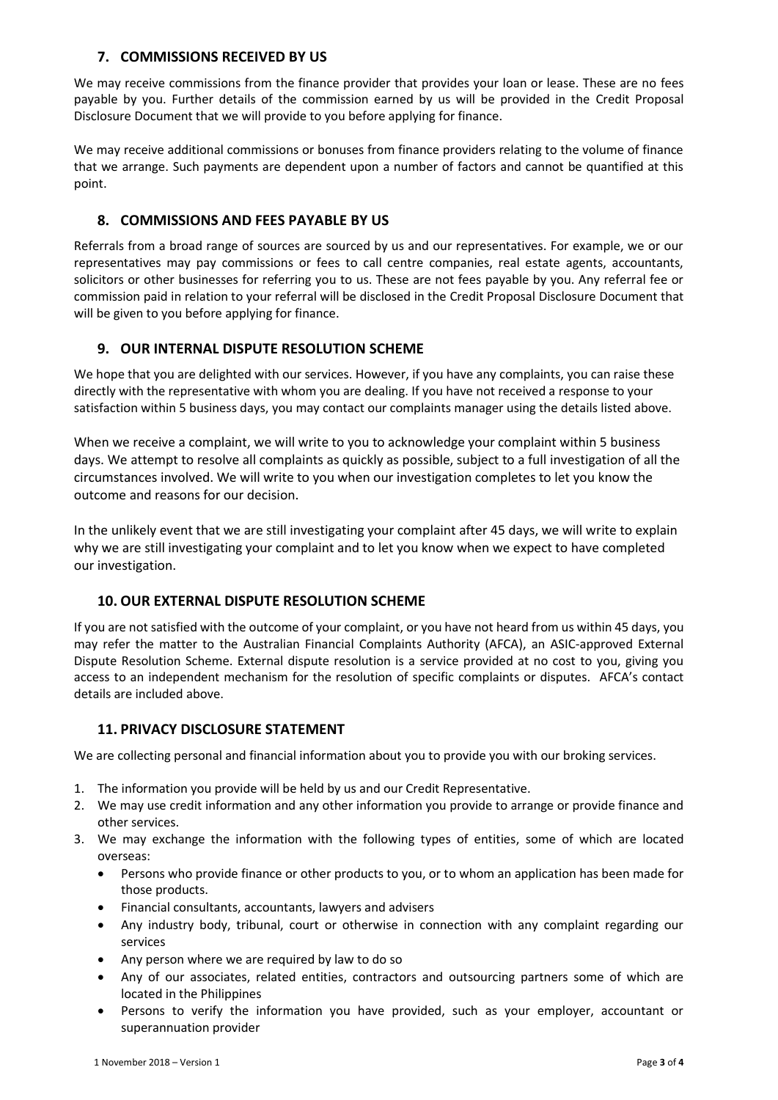#### **7. COMMISSIONS RECEIVED BY US**

We may receive commissions from the finance provider that provides your loan or lease. These are no fees payable by you. Further details of the commission earned by us will be provided in the Credit Proposal Disclosure Document that we will provide to you before applying for finance.

We may receive additional commissions or bonuses from finance providers relating to the volume of finance that we arrange. Such payments are dependent upon a number of factors and cannot be quantified at this point.

#### **8. COMMISSIONS AND FEES PAYABLE BY US**

Referrals from a broad range of sources are sourced by us and our representatives. For example, we or our representatives may pay commissions or fees to call centre companies, real estate agents, accountants, solicitors or other businesses for referring you to us. These are not fees payable by you. Any referral fee or commission paid in relation to your referral will be disclosed in the Credit Proposal Disclosure Document that will be given to you before applying for finance.

#### **9. OUR INTERNAL DISPUTE RESOLUTION SCHEME**

We hope that you are delighted with our services. However, if you have any complaints, you can raise these directly with the representative with whom you are dealing. If you have not received a response to your satisfaction within 5 business days, you may contact our complaints manager using the details listed above.

When we receive a complaint, we will write to you to acknowledge your complaint within 5 business days. We attempt to resolve all complaints as quickly as possible, subject to a full investigation of all the circumstances involved. We will write to you when our investigation completes to let you know the outcome and reasons for our decision.

In the unlikely event that we are still investigating your complaint after 45 days, we will write to explain why we are still investigating your complaint and to let you know when we expect to have completed our investigation.

#### **10. OUR EXTERNAL DISPUTE RESOLUTION SCHEME**

If you are not satisfied with the outcome of your complaint, or you have not heard from us within 45 days, you may refer the matter to the Australian Financial Complaints Authority (AFCA), an ASIC-approved External Dispute Resolution Scheme. External dispute resolution is a service provided at no cost to you, giving you access to an independent mechanism for the resolution of specific complaints or disputes. AFCA's contact details are included above.

#### **11. PRIVACY DISCLOSURE STATEMENT**

We are collecting personal and financial information about you to provide you with our broking services.

- 1. The information you provide will be held by us and our Credit Representative.
- 2. We may use credit information and any other information you provide to arrange or provide finance and other services.
- 3. We may exchange the information with the following types of entities, some of which are located overseas:
	- Persons who provide finance or other products to you, or to whom an application has been made for those products.
	- Financial consultants, accountants, lawyers and advisers
	- Any industry body, tribunal, court or otherwise in connection with any complaint regarding our services
	- Any person where we are required by law to do so
	- Any of our associates, related entities, contractors and outsourcing partners some of which are located in the Philippines
	- Persons to verify the information you have provided, such as your employer, accountant or superannuation provider